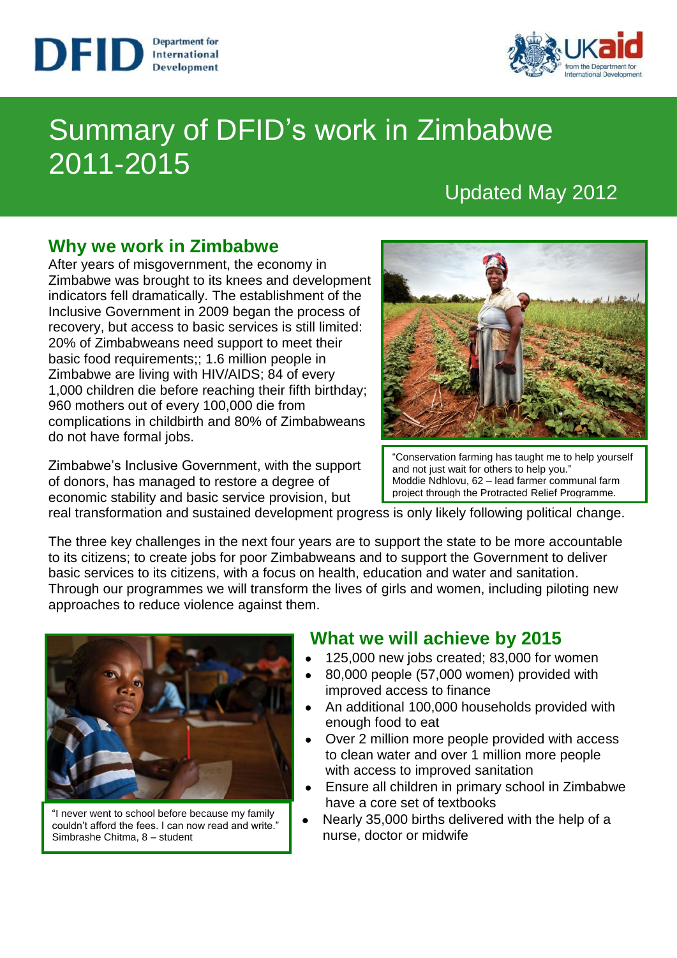



# Summary of DFID's work in Zimbabwe 2011-2015

# Updated May 2012

### **Why we work in Zimbabwe**

After years of misgovernment, the economy in Zimbabwe was brought to its knees and development indicators fell dramatically. The establishment of the Inclusive Government in 2009 began the process of recovery, but access to basic services is still limited: 20% of Zimbabweans need support to meet their basic food requirements;; 1.6 million people in Zimbabwe are living with HIV/AIDS; 84 of every 1,000 children die before reaching their fifth birthday; 960 mothers out of every 100,000 die from complications in childbirth and 80% of Zimbabweans do not have formal jobs.

Zimbabwe's Inclusive Government, with the support of donors, has managed to restore a degree of economic stability and basic service provision, but



"Conservation farming has taught me to help yourself and not just wait for others to help you." Moddie Ndhlovu, 62 – lead farmer communal farm project through the Protracted Relief Programme.

real transformation and sustained development progress is only likely following political change.

The three key challenges in the next four years are to support the state to be more accountable to its citizens; to create jobs for poor Zimbabweans and to support the Government to deliver basic services to its citizens, with a focus on health, education and water and sanitation. Through our programmes we will transform the lives of girls and women, including piloting new approaches to reduce violence against them.



"I never went to school before because my family couldn't afford the fees. I can now read and write." Simbrashe Chitma, 8 – student

#### **What we will achieve by 2015**

- 125,000 new jobs created; 83,000 for women
- 80,000 people (57,000 women) provided with improved access to finance
- An additional 100,000 households provided with enough food to eat
- Over 2 million more people provided with access to clean water and over 1 million more people with access to improved sanitation
- Ensure all children in primary school in Zimbabwe have a core set of textbooks
- Nearly 35,000 births delivered with the help of a  $\bullet$ nurse, doctor or midwife